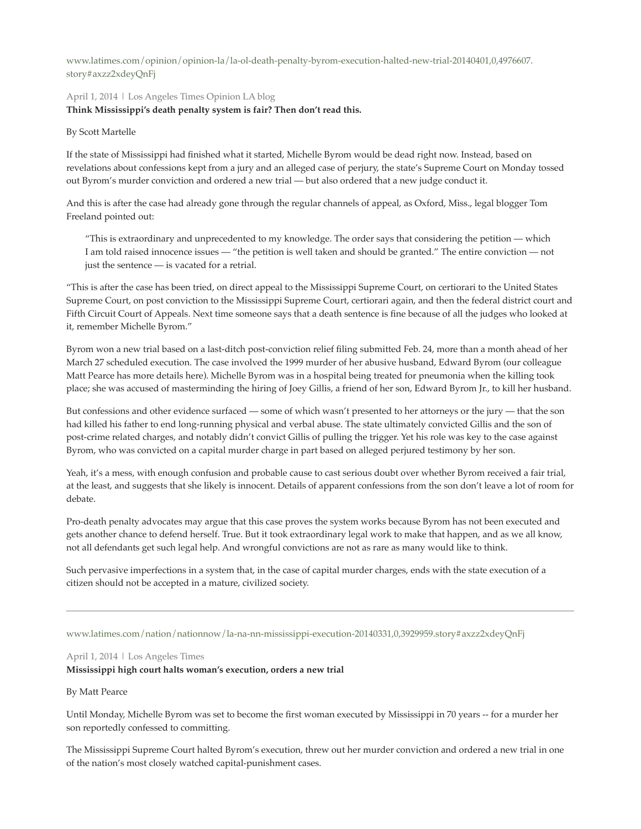www.latimes.com/opinion/opinion-la/la-ol-death-penalty-byrom-execution-halted-new-trial-20140401,0,4976607. story#axzz2xdeyQnFj

# April 1, 2014 | Los Angeles Times Opinion LA blog

#### **Think Mississippi's death penalty system is fair? Then don't read this.**

#### By Scott Martelle

If the state of Mississippi had finished what it started, Michelle Byrom would be dead right now. Instead, based on revelations about confessions kept from a jury and an alleged case of perjury, the state's Supreme Court on Monday tossed out Byrom's murder conviction and ordered a new trial — but also ordered that a new judge conduct it.

And this is after the case had already gone through the regular channels of appeal, as Oxford, Miss., legal blogger Tom Freeland pointed out:

"This is extraordinary and unprecedented to my knowledge. The order says that considering the petition — which I am told raised innocence issues — "the petition is well taken and should be granted." The entire conviction — not just the sentence — is vacated for a retrial.

"This is after the case has been tried, on direct appeal to the Mississippi Supreme Court, on certiorari to the United States Supreme Court, on post conviction to the Mississippi Supreme Court, certiorari again, and then the federal district court and Fifth Circuit Court of Appeals. Next time someone says that a death sentence is fine because of all the judges who looked at it, remember Michelle Byrom."

Byrom won a new trial based on a last-ditch post-conviction relief filing submitted Feb. 24, more than a month ahead of her March 27 scheduled execution. The case involved the 1999 murder of her abusive husband, Edward Byrom (our colleague Matt Pearce has more details here). Michelle Byrom was in a hospital being treated for pneumonia when the killing took place; she was accused of masterminding the hiring of Joey Gillis, a friend of her son, Edward Byrom Jr., to kill her husband.

But confessions and other evidence surfaced — some of which wasn't presented to her attorneys or the jury — that the son had killed his father to end long-running physical and verbal abuse. The state ultimately convicted Gillis and the son of post-crime related charges, and notably didn't convict Gillis of pulling the trigger. Yet his role was key to the case against Byrom, who was convicted on a capital murder charge in part based on alleged perjured testimony by her son.

Yeah, it's a mess, with enough confusion and probable cause to cast serious doubt over whether Byrom received a fair trial, at the least, and suggests that she likely is innocent. Details of apparent confessions from the son don't leave a lot of room for debate.

Pro-death penalty advocates may argue that this case proves the system works because Byrom has not been executed and gets another chance to defend herself. True. But it took extraordinary legal work to make that happen, and as we all know, not all defendants get such legal help. And wrongful convictions are not as rare as many would like to think.

Such pervasive imperfections in a system that, in the case of capital murder charges, ends with the state execution of a citizen should not be accepted in a mature, civilized society.

#### www.latimes.com/nation/nationnow/la-na-nn-mississippi-execution-20140331,0,3929959.story#axzz2xdeyQnFj

#### April 1, 2014 | Los Angeles Times

#### **Mississippi high court halts woman's execution, orders a new trial**

### By Matt Pearce

Until Monday, Michelle Byrom was set to become the first woman executed by Mississippi in 70 years -- for a murder her son reportedly confessed to committing.

The Mississippi Supreme Court halted Byrom's execution, threw out her murder conviction and ordered a new trial in one of the nation's most closely watched capital-punishment cases.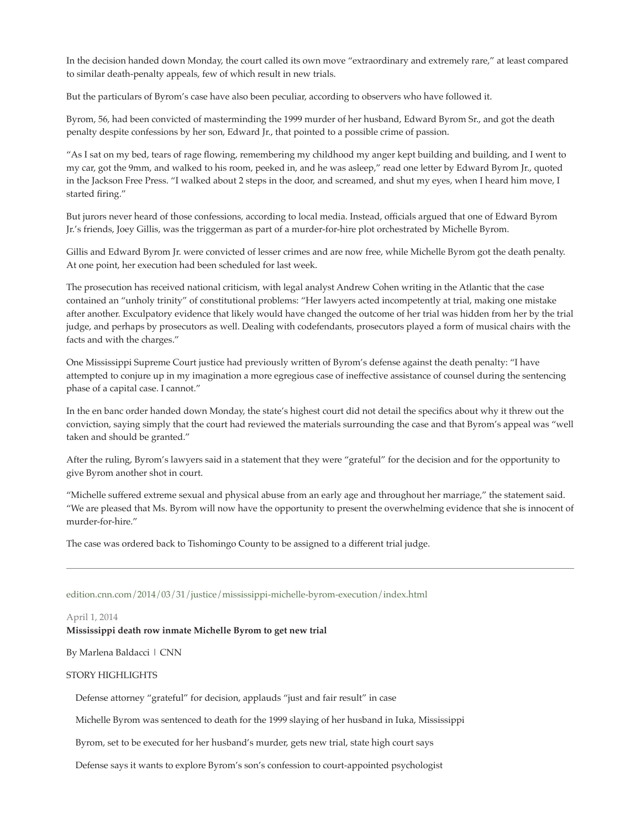In the decision handed down Monday, the court called its own move "extraordinary and extremely rare," at least compared to similar death-penalty appeals, few of which result in new trials.

But the particulars of Byrom's case have also been peculiar, according to observers who have followed it.

Byrom, 56, had been convicted of masterminding the 1999 murder of her husband, Edward Byrom Sr., and got the death penalty despite confessions by her son, Edward Jr., that pointed to a possible crime of passion.

"As I sat on my bed, tears of rage flowing, remembering my childhood my anger kept building and building, and I went to my car, got the 9mm, and walked to his room, peeked in, and he was asleep," read one letter by Edward Byrom Jr., quoted in the Jackson Free Press. "I walked about 2 steps in the door, and screamed, and shut my eyes, when I heard him move, I started firing."

But jurors never heard of those confessions, according to local media. Instead, officials argued that one of Edward Byrom Jr.'s friends, Joey Gillis, was the triggerman as part of a murder-for-hire plot orchestrated by Michelle Byrom.

Gillis and Edward Byrom Jr. were convicted of lesser crimes and are now free, while Michelle Byrom got the death penalty. At one point, her execution had been scheduled for last week.

The prosecution has received national criticism, with legal analyst Andrew Cohen writing in the Atlantic that the case contained an "unholy trinity" of constitutional problems: "Her lawyers acted incompetently at trial, making one mistake after another. Exculpatory evidence that likely would have changed the outcome of her trial was hidden from her by the trial judge, and perhaps by prosecutors as well. Dealing with codefendants, prosecutors played a form of musical chairs with the facts and with the charges."

One Mississippi Supreme Court justice had previously written of Byrom's defense against the death penalty: "I have attempted to conjure up in my imagination a more egregious case of ineffective assistance of counsel during the sentencing phase of a capital case. I cannot."

In the en banc order handed down Monday, the state's highest court did not detail the specifics about why it threw out the conviction, saying simply that the court had reviewed the materials surrounding the case and that Byrom's appeal was "well taken and should be granted."

After the ruling, Byrom's lawyers said in a statement that they were "grateful" for the decision and for the opportunity to give Byrom another shot in court.

"Michelle suffered extreme sexual and physical abuse from an early age and throughout her marriage," the statement said. "We are pleased that Ms. Byrom will now have the opportunity to present the overwhelming evidence that she is innocent of murder-for-hire."

The case was ordered back to Tishomingo County to be assigned to a different trial judge.

edition.cnn.com/2014/03/31/justice/mississippi-michelle-byrom-execution/index.html

### April 1, 2014

**Mississippi death row inmate Michelle Byrom to get new trial** 

By Marlena Baldacci | CNN

#### STORY HIGHLIGHTS

Defense attorney "grateful" for decision, applauds "just and fair result" in case

Michelle Byrom was sentenced to death for the 1999 slaying of her husband in Iuka, Mississippi

Byrom, set to be executed for her husband's murder, gets new trial, state high court says

Defense says it wants to explore Byrom's son's confession to court-appointed psychologist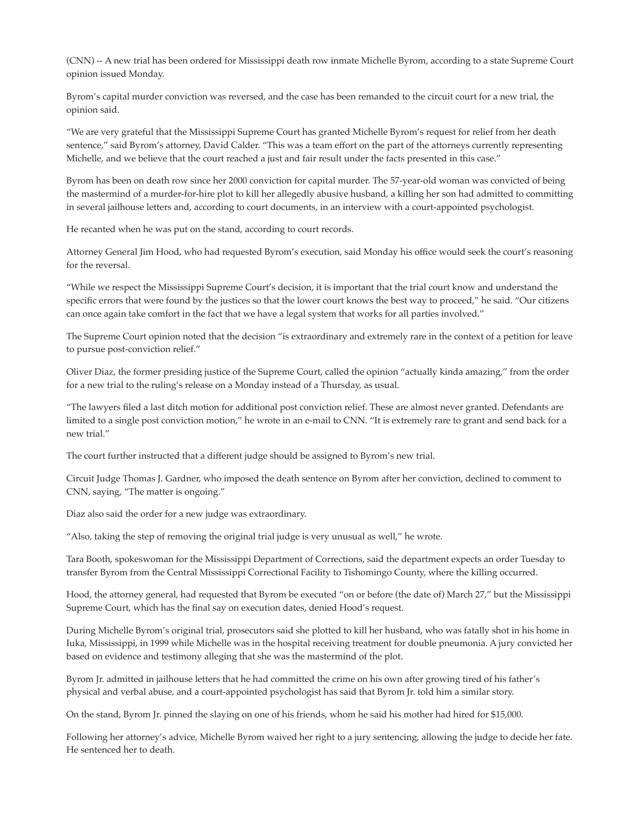(CNN) -- A new trial has been ordered for Mississippi death row inmate Michelle Byrom, according to a state Supreme Court opinion issued Monday.

Byrom's capital murder conviction was reversed, and the case has been remanded to the circuit court for a new trial, the opinion said.

"We are very grateful that the Mississippi Supreme Court has granted Michelle Byrom's request for relief from her death sentence," said Byrom's attorney, David Calder. "This was a team effort on the part of the attorneys currently representing Michelle, and we believe that the court reached a just and fair result under the facts presented in this case."

Byrom has been on death row since her 2000 conviction for capital murder. The 57-year-old woman was convicted of being the mastermind of a murder-for-hire plot to kill her allegedly abusive husband, a killing her son had admitted to committing in several jailhouse letters and, according to court documents, in an interview with a court-appointed psychologist.

He recanted when he was put on the stand, according to court records.

Attorney General Jim Hood, who had requested Byrom's execution, said Monday his office would seek the court's reasoning for the reversal.

"While we respect the Mississippi Supreme Court's decision, it is important that the trial court know and understand the specific errors that were found by the justices so that the lower court knows the best way to proceed," he said. "Our citizens can once again take comfort in the fact that we have a legal system that works for all parties involved."

The Supreme Court opinion noted that the decision "is extraordinary and extremely rare in the context of a petition for leave to pursue post-conviction relief."

Oliver Diaz, the former presiding justice of the Supreme Court, called the opinion "actually kinda amazing," from the order for a new trial to the ruling's release on a Monday instead of a Thursday, as usual.

"The lawyers filed a last ditch motion for additional post conviction relief. These are almost never granted. Defendants are limited to a single post conviction motion," he wrote in an e-mail to CNN. "It is extremely rare to grant and send back for a new trial."

The court further instructed that a different judge should be assigned to Byrom's new trial.

Circuit Judge Thomas J. Gardner, who imposed the death sentence on Byrom after her conviction, declined to comment to CNN, saying, "The matter is ongoing."

Diaz also said the order for a new judge was extraordinary.

"Also, taking the step of removing the original trial judge is very unusual as well," he wrote.

Tara Booth, spokeswoman for the Mississippi Department of Corrections, said the department expects an order Tuesday to transfer Byrom from the Central Mississippi Correctional Facility to Tishomingo County, where the killing occurred.

Hood, the attorney general, had requested that Byrom be executed "on or before (the date of) March 27," but the Mississippi Supreme Court, which has the final say on execution dates, denied Hood's request.

During Michelle Byrom's original trial, prosecutors said she plotted to kill her husband, who was fatally shot in his home in Iuka, Mississippi, in 1999 while Michelle was in the hospital receiving treatment for double pneumonia. A jury convicted her based on evidence and testimony alleging that she was the mastermind of the plot.

Byrom Jr. admitted in jailhouse letters that he had committed the crime on his own after growing tired of his father's physical and verbal abuse, and a court-appointed psychologist has said that Byrom Jr. told him a similar story.

On the stand, Byrom Jr. pinned the slaying on one of his friends, whom he said his mother had hired for \$15,000.

Following her attorney's advice, Michelle Byrom waived her right to a jury sentencing, allowing the judge to decide her fate. He sentenced her to death.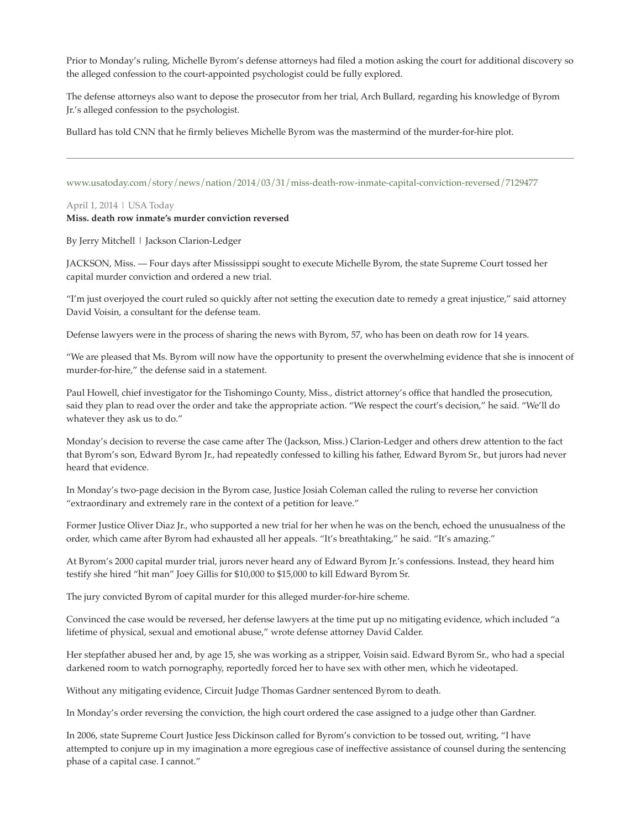Prior to Monday's ruling, Michelle Byrom's defense attorneys had filed a motion asking the court for additional discovery so the alleged confession to the court-appointed psychologist could be fully explored.

The defense attorneys also want to depose the prosecutor from her trial, Arch Bullard, regarding his knowledge of Byrom Jr.'s alleged confession to the psychologist.

Bullard has told CNN that he firmly believes Michelle Byrom was the mastermind of the murder-for-hire plot.

www.usatoday.com/story/news/nation/2014/03/31/miss-death-row-inmate-capital-conviction-reversed/7129477

#### April 1, 2014 | USA Today **Miss. death row inmate's murder conviction reversed**

By Jerry Mitchell | Jackson Clarion-Ledger

JACKSON, Miss. — Four days after Mississippi sought to execute Michelle Byrom, the state Supreme Court tossed her capital murder conviction and ordered a new trial.

"I'm just overjoyed the court ruled so quickly after not setting the execution date to remedy a great injustice," said attorney David Voisin, a consultant for the defense team.

Defense lawyers were in the process of sharing the news with Byrom, 57, who has been on death row for 14 years.

"We are pleased that Ms. Byrom will now have the opportunity to present the overwhelming evidence that she is innocent of murder-for-hire," the defense said in a statement.

Paul Howell, chief investigator for the Tishomingo County, Miss., district attorney's office that handled the prosecution, said they plan to read over the order and take the appropriate action. "We respect the court's decision," he said. "We'll do whatever they ask us to do."

Monday's decision to reverse the case came after The (Jackson, Miss.) Clarion-Ledger and others drew attention to the fact that Byrom's son, Edward Byrom Jr., had repeatedly confessed to killing his father, Edward Byrom Sr., but jurors had never heard that evidence.

In Monday's two-page decision in the Byrom case, Justice Josiah Coleman called the ruling to reverse her conviction "extraordinary and extremely rare in the context of a petition for leave."

Former Justice Oliver Diaz Jr., who supported a new trial for her when he was on the bench, echoed the unusualness of the order, which came after Byrom had exhausted all her appeals. "It's breathtaking," he said. "It's amazing."

At Byrom's 2000 capital murder trial, jurors never heard any of Edward Byrom Jr.'s confessions. Instead, they heard him testify she hired "hit man" Joey Gillis for \$10,000 to \$15,000 to kill Edward Byrom Sr.

The jury convicted Byrom of capital murder for this alleged murder-for-hire scheme.

Convinced the case would be reversed, her defense lawyers at the time put up no mitigating evidence, which included "a lifetime of physical, sexual and emotional abuse," wrote defense attorney David Calder.

Her stepfather abused her and, by age 15, she was working as a stripper, Voisin said. Edward Byrom Sr., who had a special darkened room to watch pornography, reportedly forced her to have sex with other men, which he videotaped.

Without any mitigating evidence, Circuit Judge Thomas Gardner sentenced Byrom to death.

In Monday's order reversing the conviction, the high court ordered the case assigned to a judge other than Gardner.

In 2006, state Supreme Court Justice Jess Dickinson called for Byrom's conviction to be tossed out, writing, "I have attempted to conjure up in my imagination a more egregious case of ineffective assistance of counsel during the sentencing phase of a capital case. I cannot."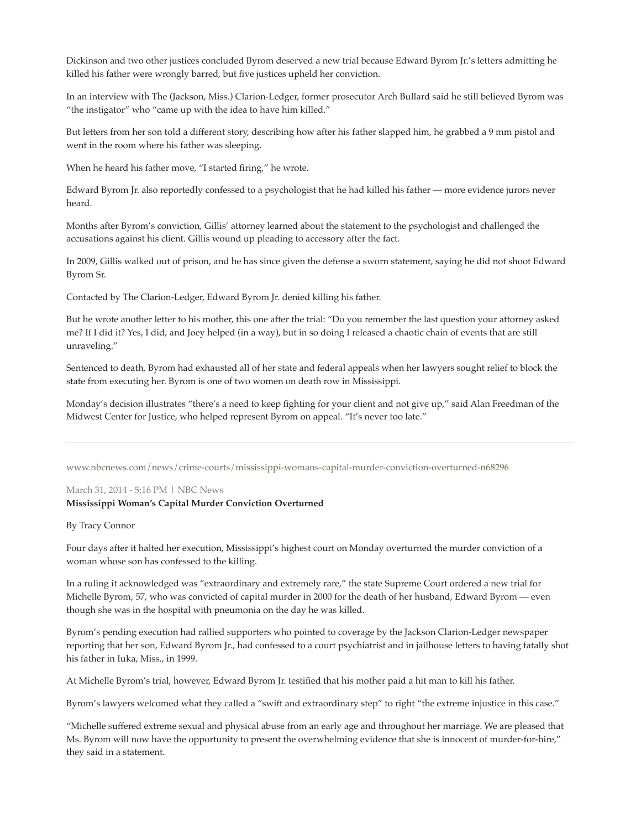Dickinson and two other justices concluded Byrom deserved a new trial because Edward Byrom Jr.'s letters admitting he killed his father were wrongly barred, but five justices upheld her conviction.

In an interview with The (Jackson, Miss.) Clarion-Ledger, former prosecutor Arch Bullard said he still believed Byrom was "the instigator" who "came up with the idea to have him killed."

But letters from her son told a different story, describing how after his father slapped him, he grabbed a 9 mm pistol and went in the room where his father was sleeping.

When he heard his father move, "I started firing," he wrote.

Edward Byrom Jr. also reportedly confessed to a psychologist that he had killed his father — more evidence jurors never heard.

Months after Byrom's conviction, Gillis' attorney learned about the statement to the psychologist and challenged the accusations against his client. Gillis wound up pleading to accessory after the fact.

In 2009, Gillis walked out of prison, and he has since given the defense a sworn statement, saying he did not shoot Edward Byrom Sr.

Contacted by The Clarion-Ledger, Edward Byrom Jr. denied killing his father.

But he wrote another letter to his mother, this one after the trial: "Do you remember the last question your attorney asked me? If I did it? Yes, I did, and Joey helped (in a way), but in so doing I released a chaotic chain of events that are still unraveling."

Sentenced to death, Byrom had exhausted all of her state and federal appeals when her lawyers sought relief to block the state from executing her. Byrom is one of two women on death row in Mississippi.

Monday's decision illustrates "there's a need to keep fighting for your client and not give up," said Alan Freedman of the Midwest Center for Justice, who helped represent Byrom on appeal. "It's never too late."

www.nbcnews.com/news/crime-courts/mississippi-womans-capital-murder-conviction-overturned-n68296

#### March 31, 2014 - 5:16 PM | NBC News

# **Mississippi Woman's Capital Murder Conviction Overturned**

By Tracy Connor

Four days after it halted her execution, Mississippi's highest court on Monday overturned the murder conviction of a woman whose son has confessed to the killing.

In a ruling it acknowledged was "extraordinary and extremely rare," the state Supreme Court ordered a new trial for Michelle Byrom, 57, who was convicted of capital murder in 2000 for the death of her husband, Edward Byrom — even though she was in the hospital with pneumonia on the day he was killed.

Byrom's pending execution had rallied supporters who pointed to coverage by the Jackson Clarion-Ledger newspaper reporting that her son, Edward Byrom Jr., had confessed to a court psychiatrist and in jailhouse letters to having fatally shot his father in Iuka, Miss., in 1999.

At Michelle Byrom's trial, however, Edward Byrom Jr. testified that his mother paid a hit man to kill his father.

Byrom's lawyers welcomed what they called a "swift and extraordinary step" to right "the extreme injustice in this case."

"Michelle suffered extreme sexual and physical abuse from an early age and throughout her marriage. We are pleased that Ms. Byrom will now have the opportunity to present the overwhelming evidence that she is innocent of murder-for-hire," they said in a statement.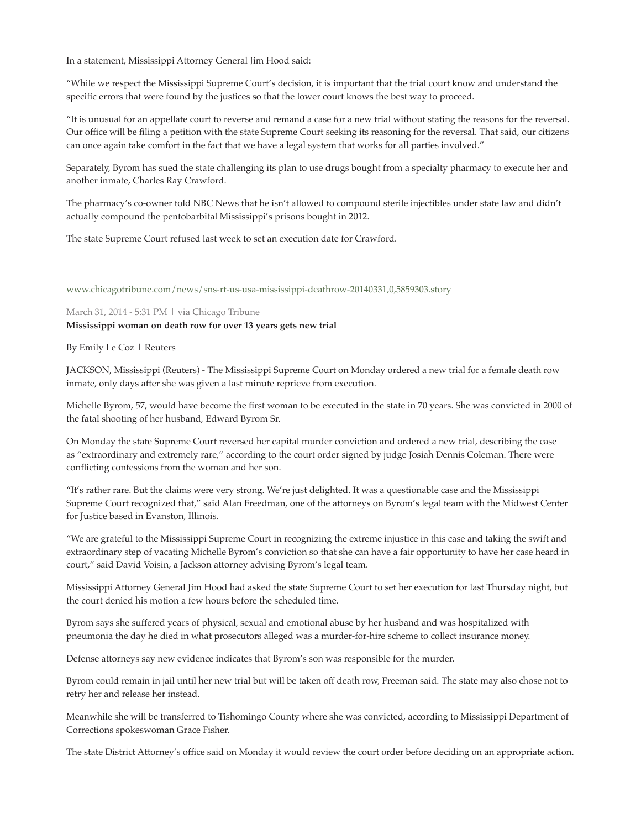In a statement, Mississippi Attorney General Jim Hood said:

"While we respect the Mississippi Supreme Court's decision, it is important that the trial court know and understand the specific errors that were found by the justices so that the lower court knows the best way to proceed.

"It is unusual for an appellate court to reverse and remand a case for a new trial without stating the reasons for the reversal. Our office will be filing a petition with the state Supreme Court seeking its reasoning for the reversal. That said, our citizens can once again take comfort in the fact that we have a legal system that works for all parties involved."

Separately, Byrom has sued the state challenging its plan to use drugs bought from a specialty pharmacy to execute her and another inmate, Charles Ray Crawford.

The pharmacy's co-owner told NBC News that he isn't allowed to compound sterile injectibles under state law and didn't actually compound the pentobarbital Mississippi's prisons bought in 2012.

The state Supreme Court refused last week to set an execution date for Crawford.

www.chicagotribune.com/news/sns-rt-us-usa-mississippi-deathrow-20140331,0,5859303.story

# March 31, 2014 - 5:31 PM | via Chicago Tribune **Mississippi woman on death row for over 13 years gets new trial**

By Emily Le Coz | Reuters

JACKSON, Mississippi (Reuters) - The Mississippi Supreme Court on Monday ordered a new trial for a female death row inmate, only days after she was given a last minute reprieve from execution.

Michelle Byrom, 57, would have become the first woman to be executed in the state in 70 years. She was convicted in 2000 of the fatal shooting of her husband, Edward Byrom Sr.

On Monday the state Supreme Court reversed her capital murder conviction and ordered a new trial, describing the case as "extraordinary and extremely rare," according to the court order signed by judge Josiah Dennis Coleman. There were conflicting confessions from the woman and her son.

"It's rather rare. But the claims were very strong. We're just delighted. It was a questionable case and the Mississippi Supreme Court recognized that," said Alan Freedman, one of the attorneys on Byrom's legal team with the Midwest Center for Justice based in Evanston, Illinois.

"We are grateful to the Mississippi Supreme Court in recognizing the extreme injustice in this case and taking the swift and extraordinary step of vacating Michelle Byrom's conviction so that she can have a fair opportunity to have her case heard in court," said David Voisin, a Jackson attorney advising Byrom's legal team.

Mississippi Attorney General Jim Hood had asked the state Supreme Court to set her execution for last Thursday night, but the court denied his motion a few hours before the scheduled time.

Byrom says she suffered years of physical, sexual and emotional abuse by her husband and was hospitalized with pneumonia the day he died in what prosecutors alleged was a murder-for-hire scheme to collect insurance money.

Defense attorneys say new evidence indicates that Byrom's son was responsible for the murder.

Byrom could remain in jail until her new trial but will be taken off death row, Freeman said. The state may also chose not to retry her and release her instead.

Meanwhile she will be transferred to Tishomingo County where she was convicted, according to Mississippi Department of Corrections spokeswoman Grace Fisher.

The state District Attorney's office said on Monday it would review the court order before deciding on an appropriate action.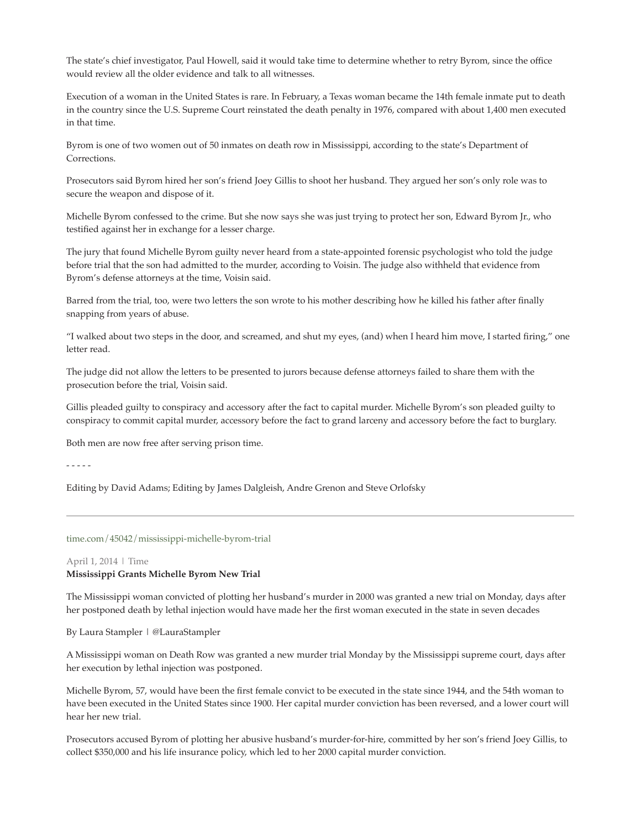The state's chief investigator, Paul Howell, said it would take time to determine whether to retry Byrom, since the office would review all the older evidence and talk to all witnesses.

Execution of a woman in the United States is rare. In February, a Texas woman became the 14th female inmate put to death in the country since the U.S. Supreme Court reinstated the death penalty in 1976, compared with about 1,400 men executed in that time.

Byrom is one of two women out of 50 inmates on death row in Mississippi, according to the state's Department of Corrections.

Prosecutors said Byrom hired her son's friend Joey Gillis to shoot her husband. They argued her son's only role was to secure the weapon and dispose of it.

Michelle Byrom confessed to the crime. But she now says she was just trying to protect her son, Edward Byrom Jr., who testified against her in exchange for a lesser charge.

The jury that found Michelle Byrom guilty never heard from a state-appointed forensic psychologist who told the judge before trial that the son had admitted to the murder, according to Voisin. The judge also withheld that evidence from Byrom's defense attorneys at the time, Voisin said.

Barred from the trial, too, were two letters the son wrote to his mother describing how he killed his father after finally snapping from years of abuse.

"I walked about two steps in the door, and screamed, and shut my eyes, (and) when I heard him move, I started firing," one letter read.

The judge did not allow the letters to be presented to jurors because defense attorneys failed to share them with the prosecution before the trial, Voisin said.

Gillis pleaded guilty to conspiracy and accessory after the fact to capital murder. Michelle Byrom's son pleaded guilty to conspiracy to commit capital murder, accessory before the fact to grand larceny and accessory before the fact to burglary.

Both men are now free after serving prison time.

- - - - -

Editing by David Adams; Editing by James Dalgleish, Andre Grenon and Steve Orlofsky

time.com/45042/mississippi-michelle-byrom-trial

# April 1, 2014 | Time **Mississippi Grants Michelle Byrom New Trial**

The Mississippi woman convicted of plotting her husband's murder in 2000 was granted a new trial on Monday, days after her postponed death by lethal injection would have made her the first woman executed in the state in seven decades

By Laura Stampler | @LauraStampler

A Mississippi woman on Death Row was granted a new murder trial Monday by the Mississippi supreme court, days after her execution by lethal injection was postponed.

Michelle Byrom, 57, would have been the first female convict to be executed in the state since 1944, and the 54th woman to have been executed in the United States since 1900. Her capital murder conviction has been reversed, and a lower court will hear her new trial.

Prosecutors accused Byrom of plotting her abusive husband's murder-for-hire, committed by her son's friend Joey Gillis, to collect \$350,000 and his life insurance policy, which led to her 2000 capital murder conviction.